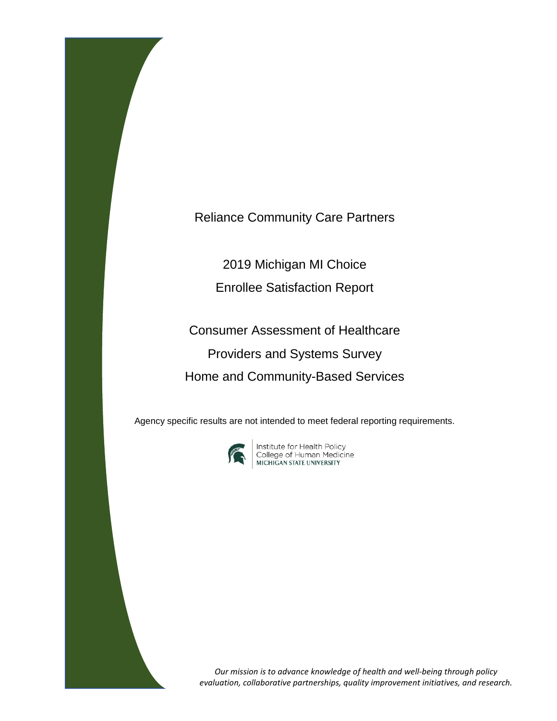Reliance Community Care Partners

2019 Michigan MI Choice

Enrollee Satisfaction Report

Consumer Assessment of Healthcare Providers and Systems Survey Home and Community-Based Services

Agency specific results are not intended to meet federal reporting requirements.



**Institute for Health Policy<br>College of Human Medicine<br>MICHIGAN STATE UNIVERSITY** 

*Our mission is to advance knowledge of health and well-being through policy evaluation, collaborative partnerships, quality improvement initiatives, and research.*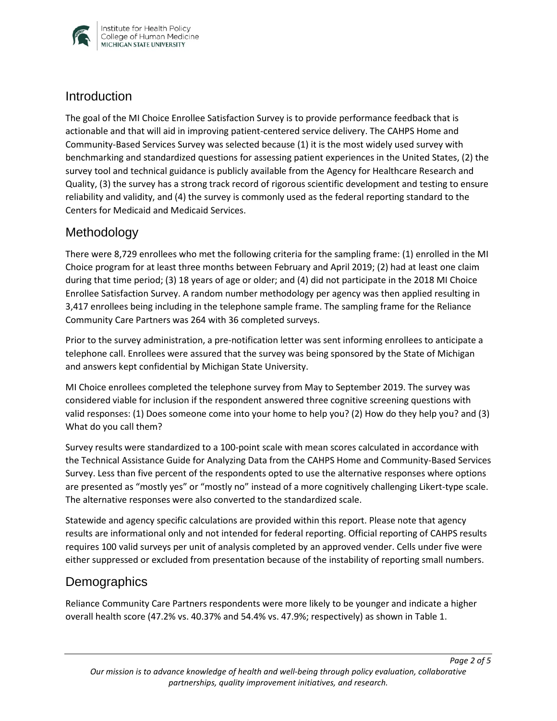

#### **Introduction**

The goal of the MI Choice Enrollee Satisfaction Survey is to provide performance feedback that is actionable and that will aid in improving patient-centered service delivery. The CAHPS Home and Community-Based Services Survey was selected because (1) it is the most widely used survey with benchmarking and standardized questions for assessing patient experiences in the United States, (2) the survey tool and technical guidance is publicly available from the Agency for Healthcare Research and Quality, (3) the survey has a strong track record of rigorous scientific development and testing to ensure reliability and validity, and (4) the survey is commonly used as the federal reporting standard to the Centers for Medicaid and Medicaid Services.

## Methodology

There were 8,729 enrollees who met the following criteria for the sampling frame: (1) enrolled in the MI Choice program for at least three months between February and April 2019; (2) had at least one claim during that time period; (3) 18 years of age or older; and (4) did not participate in the 2018 MI Choice Enrollee Satisfaction Survey. A random number methodology per agency was then applied resulting in 3,417 enrollees being including in the telephone sample frame. The sampling frame for the Reliance Community Care Partners was 264 with 36 completed surveys.

Prior to the survey administration, a pre-notification letter was sent informing enrollees to anticipate a telephone call. Enrollees were assured that the survey was being sponsored by the State of Michigan and answers kept confidential by Michigan State University.

MI Choice enrollees completed the telephone survey from May to September 2019. The survey was considered viable for inclusion if the respondent answered three cognitive screening questions with valid responses: (1) Does someone come into your home to help you? (2) How do they help you? and (3) What do you call them?

Survey results were standardized to a 100-point scale with mean scores calculated in accordance with the Technical Assistance Guide for Analyzing Data from the CAHPS Home and Community-Based Services Survey. Less than five percent of the respondents opted to use the alternative responses where options are presented as "mostly yes" or "mostly no" instead of a more cognitively challenging Likert-type scale. The alternative responses were also converted to the standardized scale.

Statewide and agency specific calculations are provided within this report. Please note that agency results are informational only and not intended for federal reporting. Official reporting of CAHPS results requires 100 valid surveys per unit of analysis completed by an approved vender. Cells under five were either suppressed or excluded from presentation because of the instability of reporting small numbers.

## **Demographics**

Reliance Community Care Partners respondents were more likely to be younger and indicate a higher overall health score (47.2% vs. 40.37% and 54.4% vs. 47.9%; respectively) as shown in Table 1.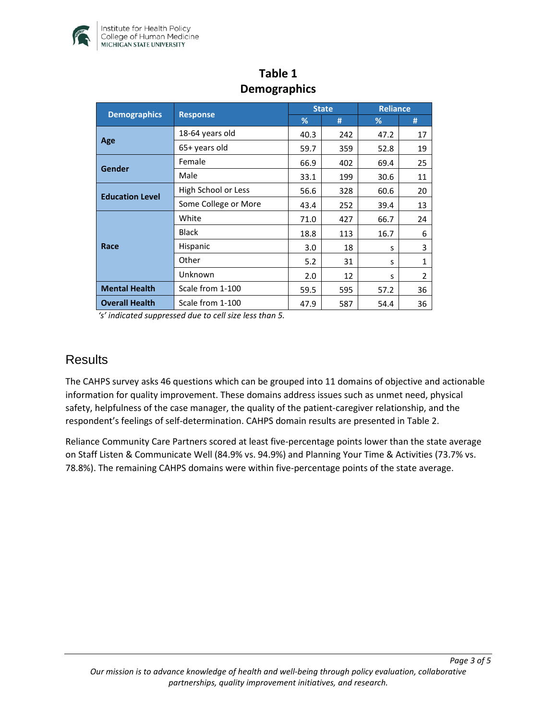

| <b>Demographics</b>    | <b>Response</b>      | <b>State</b> |     | <b>Reliance</b> |                |
|------------------------|----------------------|--------------|-----|-----------------|----------------|
|                        |                      | %            | #   | %               | #              |
| Age                    | 18-64 years old      | 40.3         | 242 | 47.2            | 17             |
|                        | 65+ years old        | 59.7         | 359 | 52.8            | 19             |
| Gender                 | Female               | 66.9         | 402 | 69.4            | 25             |
|                        | Male                 | 33.1         | 199 | 30.6            | 11             |
| <b>Education Level</b> | High School or Less  | 56.6         | 328 | 60.6            | 20             |
|                        | Some College or More | 43.4         | 252 | 39.4            | 13             |
| Race                   | White                | 71.0         | 427 | 66.7            | 24             |
|                        | <b>Black</b>         | 18.8         | 113 | 16.7            | 6              |
|                        | Hispanic             | 3.0          | 18  | s               | 3              |
|                        | Other                | 5.2          | 31  | s               | $\mathbf{1}$   |
|                        | Unknown              | 2.0          | 12  | S               | $\overline{2}$ |
| <b>Mental Health</b>   | Scale from 1-100     | 59.5         | 595 | 57.2            | 36             |
| <b>Overall Health</b>  | Scale from 1-100     | 47.9         | 587 | 54.4            | 36             |

## **Table 1 Demographics**

*'s' indicated suppressed due to cell size less than 5.* 

#### **Results**

The CAHPS survey asks 46 questions which can be grouped into 11 domains of objective and actionable information for quality improvement. These domains address issues such as unmet need, physical safety, helpfulness of the case manager, the quality of the patient-caregiver relationship, and the respondent's feelings of self-determination. CAHPS domain results are presented in Table 2.

Reliance Community Care Partners scored at least five-percentage points lower than the state average on Staff Listen & Communicate Well (84.9% vs. 94.9%) and Planning Your Time & Activities (73.7% vs. 78.8%). The remaining CAHPS domains were within five-percentage points of the state average.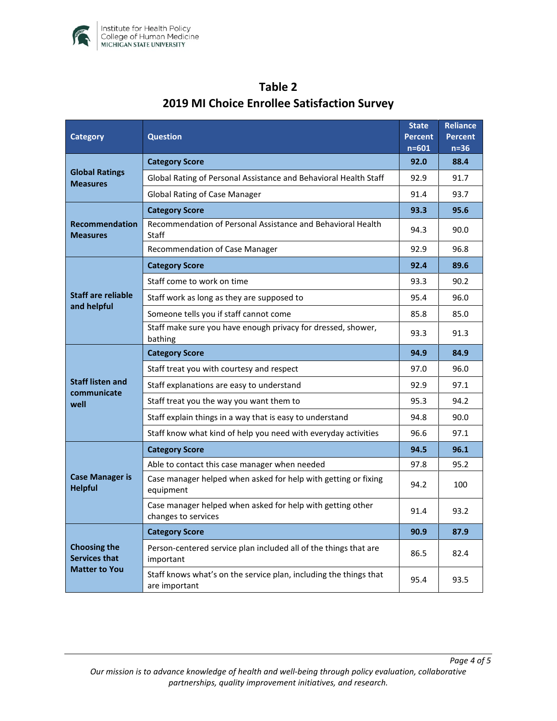

| <b>Category</b>                                                     | <b>Question</b>                                                                    |      | <b>Reliance</b><br><b>Percent</b><br>$n=36$ |
|---------------------------------------------------------------------|------------------------------------------------------------------------------------|------|---------------------------------------------|
| <b>Global Ratings</b><br><b>Measures</b>                            | <b>Category Score</b>                                                              |      | 88.4                                        |
|                                                                     | Global Rating of Personal Assistance and Behavioral Health Staff                   |      | 91.7                                        |
|                                                                     | <b>Global Rating of Case Manager</b>                                               |      | 93.7                                        |
| <b>Recommendation</b><br><b>Measures</b>                            | <b>Category Score</b>                                                              |      | 95.6                                        |
|                                                                     | Recommendation of Personal Assistance and Behavioral Health<br><b>Staff</b>        |      | 90.0                                        |
|                                                                     | Recommendation of Case Manager                                                     |      | 96.8                                        |
| Staff are reliable<br>and helpful                                   | <b>Category Score</b>                                                              | 92.4 | 89.6                                        |
|                                                                     | Staff come to work on time                                                         | 93.3 | 90.2                                        |
|                                                                     | Staff work as long as they are supposed to                                         | 95.4 | 96.0                                        |
|                                                                     | Someone tells you if staff cannot come                                             |      | 85.0                                        |
|                                                                     | Staff make sure you have enough privacy for dressed, shower,<br>bathing            | 93.3 | 91.3                                        |
| <b>Staff listen and</b>                                             | <b>Category Score</b>                                                              | 94.9 | 84.9                                        |
|                                                                     | Staff treat you with courtesy and respect                                          | 97.0 | 96.0                                        |
|                                                                     | Staff explanations are easy to understand                                          | 92.9 | 97.1                                        |
| communicate<br>well                                                 | Staff treat you the way you want them to                                           |      | 94.2                                        |
|                                                                     | Staff explain things in a way that is easy to understand                           |      | 90.0                                        |
|                                                                     | Staff know what kind of help you need with everyday activities                     | 96.6 | 97.1                                        |
| <b>Case Manager is</b><br><b>Helpful</b>                            | <b>Category Score</b>                                                              | 94.5 | 96.1                                        |
|                                                                     | Able to contact this case manager when needed                                      | 97.8 | 95.2                                        |
|                                                                     | Case manager helped when asked for help with getting or fixing<br>equipment        |      | 100                                         |
|                                                                     | Case manager helped when asked for help with getting other<br>changes to services  | 91.4 | 93.2                                        |
| <b>Choosing the</b><br><b>Services that</b><br><b>Matter to You</b> | <b>Category Score</b>                                                              | 90.9 | 87.9                                        |
|                                                                     | Person-centered service plan included all of the things that are<br>important      |      | 82.4                                        |
|                                                                     | Staff knows what's on the service plan, including the things that<br>are important | 95.4 | 93.5                                        |

# **Table 2 2019 MI Choice Enrollee Satisfaction Survey**